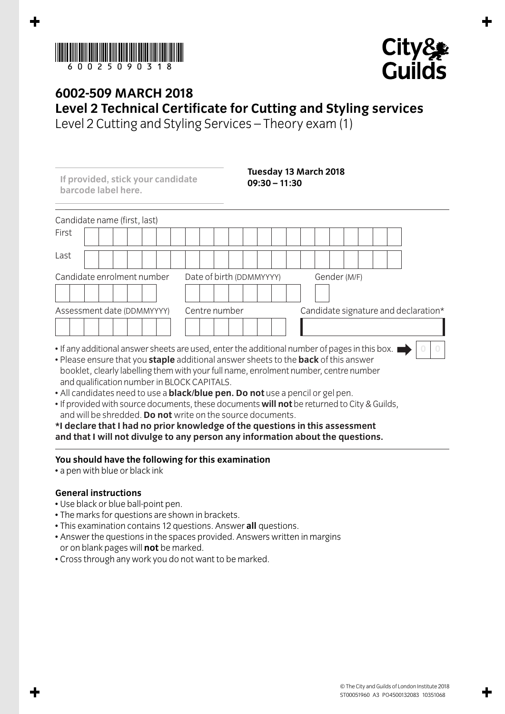



**0 0**

## **6002-509 MARCH 2018 Level 2 Technical Certificate for Cutting and Styling services**

Level 2 Cutting and Styling Services – Theory exam (1)

Candidate name (first, last) First Last Candidate enrolment number Date of birth (DDMMYYYY) Gender (M/F) Assessment date (DDMMYYYY) Centre number Candidate signature and declaration\* **If provided, stick your candidate barcode label here. Tuesday 13 March 2018 09:30 – 11:30**

- If any additional answer sheets are used, enter the additional number of pages in this box. I • Please ensure that you **staple** additional answer sheets to the **back** of this answer
- booklet, clearly labelling them with your full name, enrolment number, centre number and qualification number in BLOCK CAPITALS.
- All candidates need to use a **black/blue pen. Do not** use a pencil or gel pen.
- If provided with source documents, these documents **will not** be returned to City & Guilds, and will be shredded. **Do not** write on the source documents.

**\*I declare that I had no prior knowledge of the questions in this assessment and that I will not divulge to any person any information about the questions.**

## **You should have the following for this examination**

• a pen with blue or black ink

## **General instructions**

- Use black or blue ball-point pen.
- The marks for questions are shown in brackets.
- This examination contains 12 questions. Answer **all** questions.
- Answer the questions in the spaces provided. Answers written in margins or on blank pages will **not** be marked.
- Cross through any work you do not want to be marked.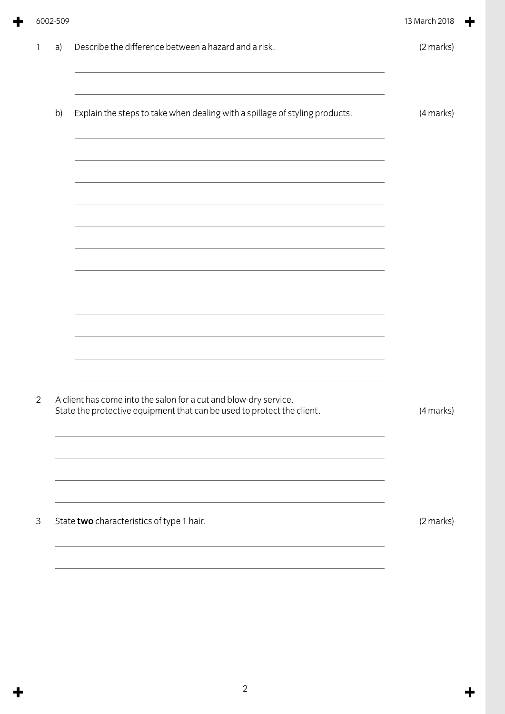| 6002-509 |
|----------|
|----------|

╉

╋

 $\ddot{\textbf{r}}$ 

| a) | Describe the difference between a hazard and a risk.                                                                                       | (2 marks) |
|----|--------------------------------------------------------------------------------------------------------------------------------------------|-----------|
| b) | Explain the steps to take when dealing with a spillage of styling products.                                                                | (4 marks) |
|    |                                                                                                                                            |           |
|    |                                                                                                                                            |           |
|    |                                                                                                                                            |           |
|    |                                                                                                                                            |           |
|    | A client has come into the salon for a cut and blow-dry service.<br>State the protective equipment that can be used to protect the client. | (4 marks) |
|    |                                                                                                                                            |           |
|    | State two characteristics of type 1 hair.                                                                                                  | (2 marks) |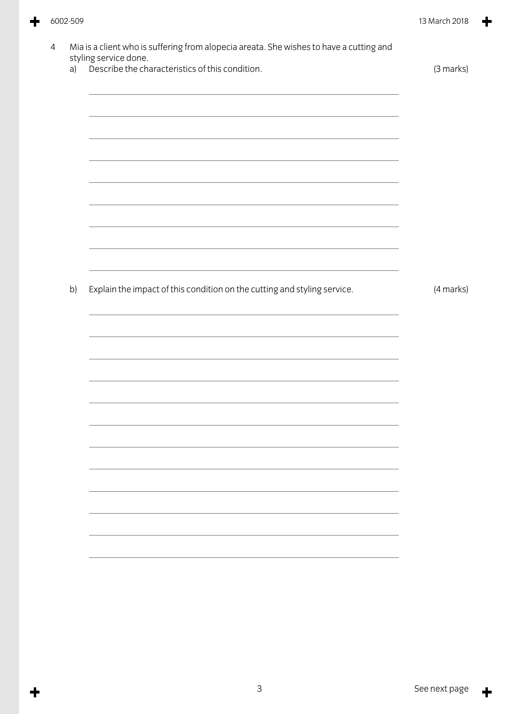4 Mia is a client who is suffering from alopecia areata. She wishes to have a cutting and styling service done. a) Describe the characteristics of this condition. (3 marks) b) Explain the impact of this condition on the cutting and styling service. (4 marks)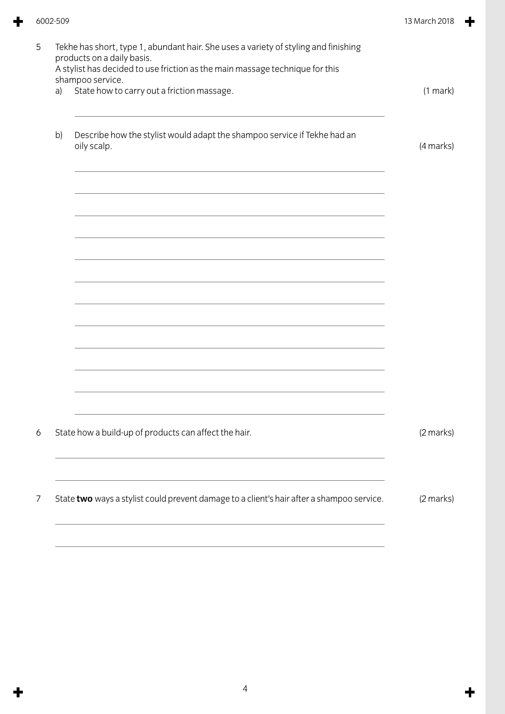|   | 6002-509                                                                                                                                                                                                              |                                                                                           | 13 March 2018 |
|---|-----------------------------------------------------------------------------------------------------------------------------------------------------------------------------------------------------------------------|-------------------------------------------------------------------------------------------|---------------|
| 5 | Tekhe has short, type 1, abundant hair. She uses a variety of styling and finishing<br>products on a daily basis.<br>A stylist has decided to use friction as the main massage technique for this<br>shampoo service. |                                                                                           |               |
|   | a)                                                                                                                                                                                                                    | State how to carry out a friction massage.                                                | (1 mark)      |
|   | b)                                                                                                                                                                                                                    | Describe how the stylist would adapt the shampoo service if Tekhe had an<br>oily scalp.   | (4 marks)     |
|   |                                                                                                                                                                                                                       |                                                                                           |               |
|   |                                                                                                                                                                                                                       |                                                                                           |               |
|   |                                                                                                                                                                                                                       |                                                                                           |               |
|   |                                                                                                                                                                                                                       |                                                                                           |               |
|   |                                                                                                                                                                                                                       |                                                                                           |               |
| 6 |                                                                                                                                                                                                                       | State how a build-up of products can affect the hair.                                     | (2 marks)     |
| 7 |                                                                                                                                                                                                                       | State two ways a stylist could prevent damage to a client's hair after a shampoo service. | $(2$ marks)   |
|   |                                                                                                                                                                                                                       |                                                                                           |               |

 $\div$ 

 $\ddot{\textbf{r}}$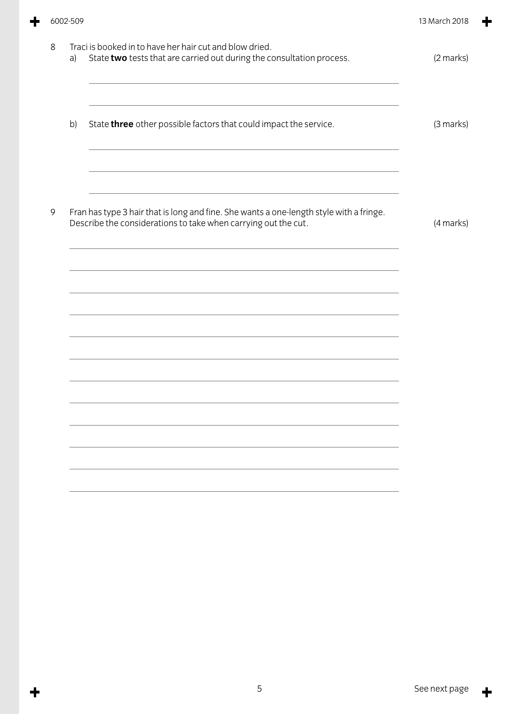|   | 6002-509 |                                                                                                                                                                                                                          |           |
|---|----------|--------------------------------------------------------------------------------------------------------------------------------------------------------------------------------------------------------------------------|-----------|
| 8 | a)       | Traci is booked in to have her hair cut and blow dried.<br>State two tests that are carried out during the consultation process.                                                                                         | (2 marks) |
|   | b)       | State three other possible factors that could impact the service.                                                                                                                                                        | (3 marks) |
| 9 |          | <u> 1989 - Johann Stoff, amerikansk politiker (d. 1989)</u><br>Fran has type 3 hair that is long and fine. She wants a one-length style with a fringe.<br>Describe the considerations to take when carrying out the cut. | (4 marks) |
|   |          |                                                                                                                                                                                                                          |           |
|   |          |                                                                                                                                                                                                                          |           |
|   |          |                                                                                                                                                                                                                          |           |
|   |          |                                                                                                                                                                                                                          |           |

 $\div$ 

 $\ddot{\phantom{1}}$ 

 $\ddot{\phantom{1}}$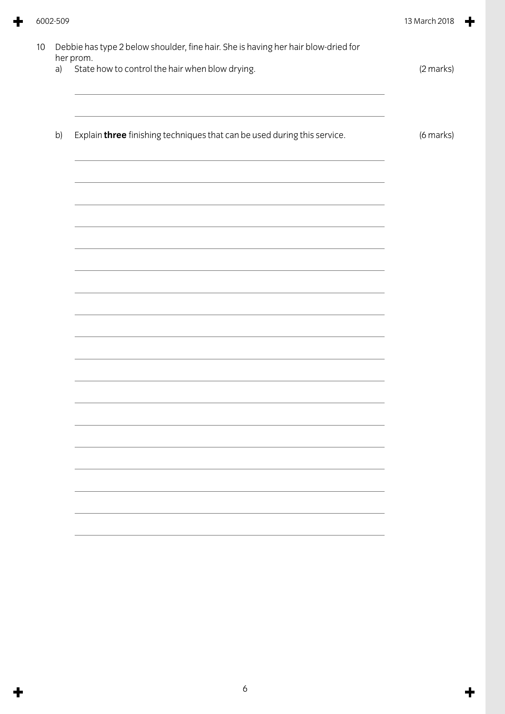| a) | State how to control the hair when blow drying.                                                                                                                                                                               | (2 marks) |
|----|-------------------------------------------------------------------------------------------------------------------------------------------------------------------------------------------------------------------------------|-----------|
| b) | Explain three finishing techniques that can be used during this service.                                                                                                                                                      | (6 marks) |
|    |                                                                                                                                                                                                                               |           |
|    |                                                                                                                                                                                                                               |           |
|    | the control of the control of the control of the control of the control of the control of the control of the control of the control of the control of the control of the control of the control of the control of the control |           |
|    |                                                                                                                                                                                                                               |           |
|    |                                                                                                                                                                                                                               |           |
|    |                                                                                                                                                                                                                               |           |
|    |                                                                                                                                                                                                                               |           |
|    |                                                                                                                                                                                                                               |           |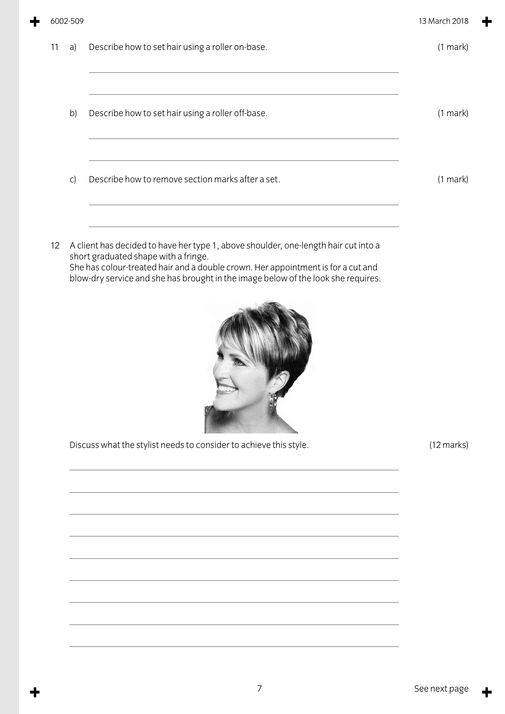|    | 6002-509 |                                                                                                                                                                                                                                                                                                      |                      |  |
|----|----------|------------------------------------------------------------------------------------------------------------------------------------------------------------------------------------------------------------------------------------------------------------------------------------------------------|----------------------|--|
| 11 | a)       | Describe how to set hair using a roller on-base.                                                                                                                                                                                                                                                     | (1 mark)             |  |
|    | b)       | Describe how to set hair using a roller off-base.                                                                                                                                                                                                                                                    | (1 mark)             |  |
|    | C)       | Describe how to remove section marks after a set.                                                                                                                                                                                                                                                    | $(1$ mark $)$        |  |
| 12 |          | A client has decided to have her type 1, above shoulder, one-length hair cut into a<br>short graduated shape with a fringe.<br>She has colour-treated hair and a double crown. Her appointment is for a cut and<br>blow-dry service and she has brought in the image below of the look she requires. |                      |  |
|    |          | Discuss what the stylist needs to consider to achieve this style.                                                                                                                                                                                                                                    | $(12 \text{ marks})$ |  |
|    |          |                                                                                                                                                                                                                                                                                                      |                      |  |
|    |          |                                                                                                                                                                                                                                                                                                      |                      |  |

 $\ddot{\phantom{1}}$ 

╋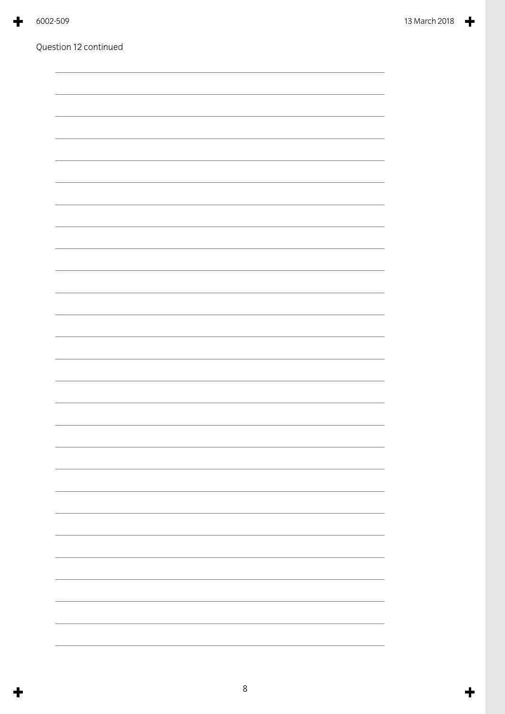| 6002-5 |
|--------|
|        |

Question 12 continued